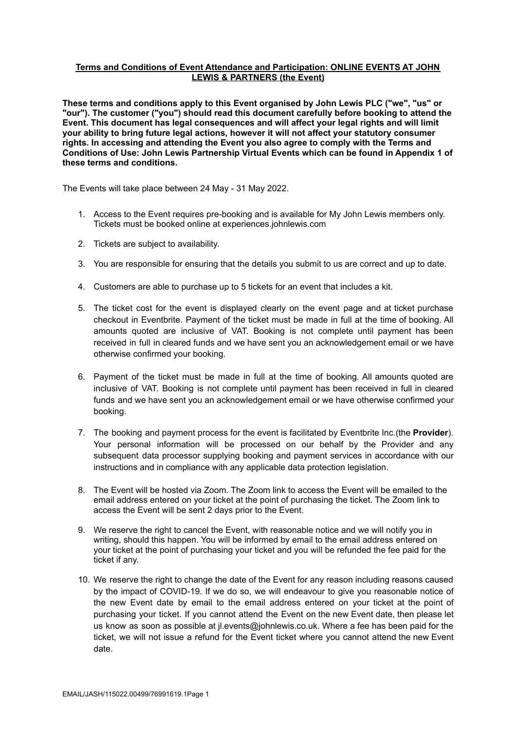# **Terms and Conditions of Event Attendance and Participation: ONLINE EVENTS AT JOHN LEWIS & PARTNERS (the Event)**

**These terms and conditions apply to this Event organised by John Lewis PLC ("we", "us" or "our"). The customer ("you") should read this document carefully before booking to attend the Event. This document has legal consequences and will affect your legal rights and will limit your ability to bring future legal actions, however it will not affect your statutory consumer rights. In accessing and attending the Event you also agree to comply with the Terms and Conditions of Use: John Lewis Partnership Virtual Events which can be found in Appendix 1 of these terms and conditions.**

The Events will take place between 24 May - 31 May 2022.

- 1. Access to the Event requires pre-booking and is available for My John Lewis members only. Tickets must be booked online at experiences.johnlewis.com
- 2. Tickets are subject to availability.
- 3. You are responsible for ensuring that the details you submit to us are correct and up to date.
- 4. Customers are able to purchase up to 5 tickets for an event that includes a kit.
- 5. The ticket cost for the event is displayed clearly on the event page and at ticket purchase checkout in Eventbrite. Payment of the ticket must be made in full at the time of booking. All amounts quoted are inclusive of VAT. Booking is not complete until payment has been received in full in cleared funds and we have sent you an acknowledgement email or we have otherwise confirmed your booking.
- 6. Payment of the ticket must be made in full at the time of booking. All amounts quoted are inclusive of VAT. Booking is not complete until payment has been received in full in cleared funds and we have sent you an acknowledgement email or we have otherwise confirmed your booking.
- 7. The booking and payment process for the event is facilitated by Eventbrite Inc.(the **Provider**). Your personal information will be processed on our behalf by the Provider and any subsequent data processor supplying booking and payment services in accordance with our instructions and in compliance with any applicable data protection legislation.
- 8. The Event will be hosted via Zoom. The Zoom link to access the Event will be emailed to the email address entered on your ticket at the point of purchasing the ticket. The Zoom link to access the Event will be sent 2 days prior to the Event.
- 9. We reserve the right to cancel the Event, with reasonable notice and we will notify you in writing, should this happen. You will be informed by email to the email address entered on your ticket at the point of purchasing your ticket and you will be refunded the fee paid for the ticket if any.
- 10. We reserve the right to change the date of the Event for any reason including reasons caused by the impact of COVID-19. If we do so, we will endeavour to give you reasonable notice of the new Event date by email to the email address entered on your ticket at the point of purchasing your ticket. If you cannot attend the Event on the new Event date, then please let us know as soon as possible at jl.events@johnlewis.co.uk. Where a fee has been paid for the ticket, we will not issue a refund for the Event ticket where you cannot attend the new Event date.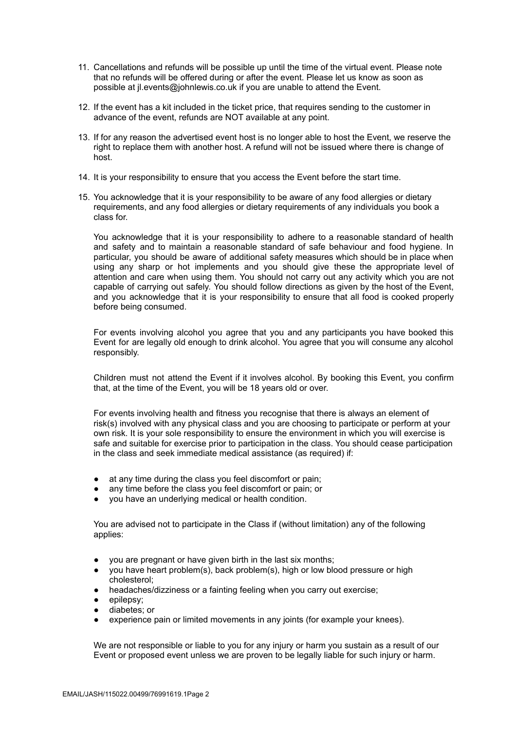- 11. Cancellations and refunds will be possible up until the time of the virtual event. Please note that no refunds will be offered during or after the event. Please let us know as soon as possible at jl.events@johnlewis.co.uk if you are unable to attend the Event.
- 12. If the event has a kit included in the ticket price, that requires sending to the customer in advance of the event, refunds are NOT available at any point.
- 13. If for any reason the advertised event host is no longer able to host the Event, we reserve the right to replace them with another host. A refund will not be issued where there is change of host.
- 14. It is your responsibility to ensure that you access the Event before the start time.
- 15. You acknowledge that it is your responsibility to be aware of any food allergies or dietary requirements, and any food allergies or dietary requirements of any individuals you book a class for.

You acknowledge that it is your responsibility to adhere to a reasonable standard of health and safety and to maintain a reasonable standard of safe behaviour and food hygiene. In particular, you should be aware of additional safety measures which should be in place when using any sharp or hot implements and you should give these the appropriate level of attention and care when using them. You should not carry out any activity which you are not capable of carrying out safely. You should follow directions as given by the host of the Event, and you acknowledge that it is your responsibility to ensure that all food is cooked properly before being consumed.

For events involving alcohol you agree that you and any participants you have booked this Event for are legally old enough to drink alcohol. You agree that you will consume any alcohol responsibly.

Children must not attend the Event if it involves alcohol. By booking this Event, you confirm that, at the time of the Event, you will be 18 years old or over.

For events involving health and fitness you recognise that there is always an element of risk(s) involved with any physical class and you are choosing to participate or perform at your own risk. It is your sole responsibility to ensure the environment in which you will exercise is safe and suitable for exercise prior to participation in the class. You should cease participation in the class and seek immediate medical assistance (as required) if:

- at any time during the class you feel discomfort or pain;
- any time before the class you feel discomfort or pain; or
- you have an underlying medical or health condition.

You are advised not to participate in the Class if (without limitation) any of the following applies:

- you are pregnant or have given birth in the last six months;
- you have heart problem(s), back problem(s), high or low blood pressure or high cholesterol;
- headaches/dizziness or a fainting feeling when you carry out exercise;
- epilepsy;
- diabetes; or
- experience pain or limited movements in any joints (for example your knees).

We are not responsible or liable to you for any injury or harm you sustain as a result of our Event or proposed event unless we are proven to be legally liable for such injury or harm.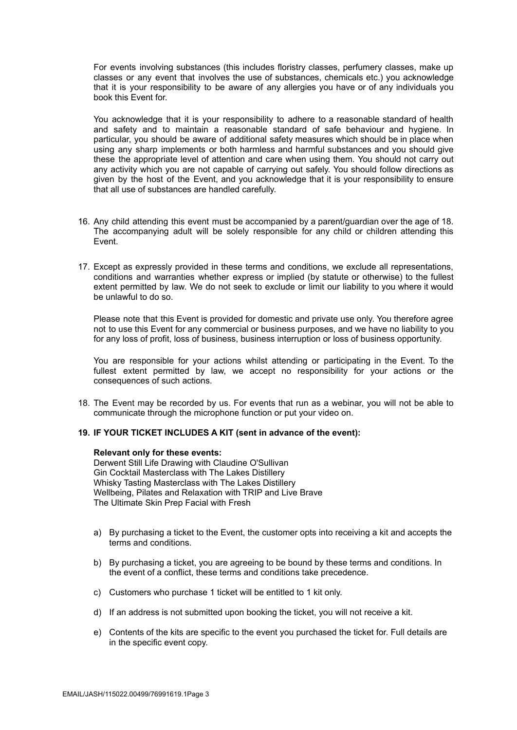For events involving substances (this includes floristry classes, perfumery classes, make up classes or any event that involves the use of substances, chemicals etc.) you acknowledge that it is your responsibility to be aware of any allergies you have or of any individuals you book this Event for.

You acknowledge that it is your responsibility to adhere to a reasonable standard of health and safety and to maintain a reasonable standard of safe behaviour and hygiene. In particular, you should be aware of additional safety measures which should be in place when using any sharp implements or both harmless and harmful substances and you should give these the appropriate level of attention and care when using them. You should not carry out any activity which you are not capable of carrying out safely. You should follow directions as given by the host of the Event, and you acknowledge that it is your responsibility to ensure that all use of substances are handled carefully.

- 16. Any child attending this event must be accompanied by a parent/guardian over the age of 18. The accompanying adult will be solely responsible for any child or children attending this Event.
- 17. Except as expressly provided in these terms and conditions, we exclude all representations, conditions and warranties whether express or implied (by statute or otherwise) to the fullest extent permitted by law. We do not seek to exclude or limit our liability to you where it would be unlawful to do so.

Please note that this Event is provided for domestic and private use only. You therefore agree not to use this Event for any commercial or business purposes, and we have no liability to you for any loss of profit, loss of business, business interruption or loss of business opportunity.

You are responsible for your actions whilst attending or participating in the Event. To the fullest extent permitted by law, we accept no responsibility for your actions or the consequences of such actions.

18. The Event may be recorded by us. For events that run as a webinar, you will not be able to communicate through the microphone function or put your video on.

### **19. IF YOUR TICKET INCLUDES A KIT (sent in advance of the event):**

#### **Relevant only for these events:**

Derwent Still Life Drawing with Claudine O'Sullivan Gin Cocktail Masterclass with The Lakes Distillery Whisky Tasting Masterclass with The Lakes Distillery Wellbeing, Pilates and Relaxation with TRIP and Live Brave The Ultimate Skin Prep Facial with Fresh

- a) By purchasing a ticket to the Event, the customer opts into receiving a kit and accepts the terms and conditions.
- b) By purchasing a ticket, you are agreeing to be bound by these terms and conditions. In the event of a conflict, these terms and conditions take precedence.
- c) Customers who purchase 1 ticket will be entitled to 1 kit only.
- d) If an address is not submitted upon booking the ticket, you will not receive a kit.
- e) Contents of the kits are specific to the event you purchased the ticket for. Full details are in the specific event copy.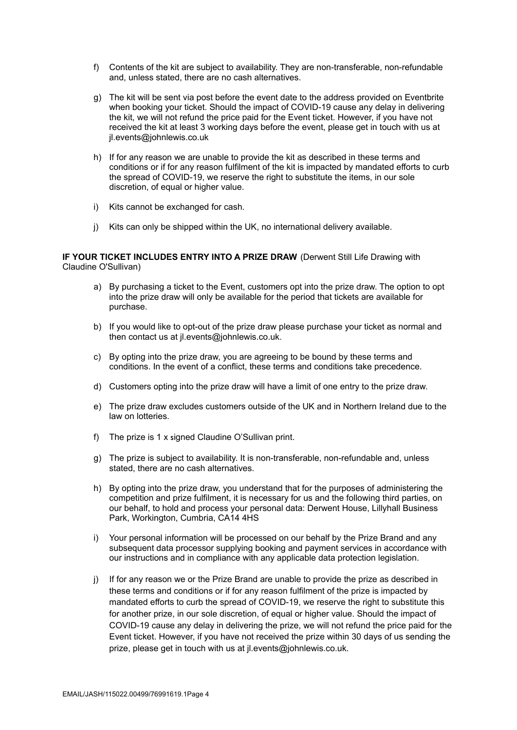- f) Contents of the kit are subject to availability. They are non-transferable, non-refundable and, unless stated, there are no cash alternatives.
- g) The kit will be sent via post before the event date to the address provided on Eventbrite when booking your ticket. Should the impact of COVID-19 cause any delay in delivering the kit, we will not refund the price paid for the Event ticket. However, if you have not received the kit at least 3 working days before the event, please get in touch with us at jl.events@johnlewis.co.uk
- h) If for any reason we are unable to provide the kit as described in these terms and conditions or if for any reason fulfilment of the kit is impacted by mandated efforts to curb the spread of COVID-19, we reserve the right to substitute the items, in our sole discretion, of equal or higher value.
- i) Kits cannot be exchanged for cash.
- j) Kits can only be shipped within the UK, no international delivery available.

### **IF YOUR TICKET INCLUDES ENTRY INTO A PRIZE DRAW** (Derwent Still Life Drawing with Claudine O'Sullivan)

- a) By purchasing a ticket to the Event, customers opt into the prize draw. The option to opt into the prize draw will only be available for the period that tickets are available for purchase.
- b) If you would like to opt-out of the prize draw please purchase your ticket as normal and then contact us at jl.events@johnlewis.co.uk.
- c) By opting into the prize draw, you are agreeing to be bound by these terms and conditions. In the event of a conflict, these terms and conditions take precedence.
- d) Customers opting into the prize draw will have a limit of one entry to the prize draw.
- e) The prize draw excludes customers outside of the UK and in Northern Ireland due to the law on lotteries.
- f) The prize is 1 x signed Claudine O'Sullivan print.
- g) The prize is subject to availability. It is non-transferable, non-refundable and, unless stated, there are no cash alternatives.
- h) By opting into the prize draw, you understand that for the purposes of administering the competition and prize fulfilment, it is necessary for us and the following third parties, on our behalf, to hold and process your personal data: Derwent House, Lillyhall Business Park, Workington, Cumbria, CA14 4HS
- i) Your personal information will be processed on our behalf by the Prize Brand and any subsequent data processor supplying booking and payment services in accordance with our instructions and in compliance with any applicable data protection legislation.
- j) If for any reason we or the Prize Brand are unable to provide the prize as described in these terms and conditions or if for any reason fulfilment of the prize is impacted by mandated efforts to curb the spread of COVID-19, we reserve the right to substitute this for another prize, in our sole discretion, of equal or higher value. Should the impact of COVID-19 cause any delay in delivering the prize, we will not refund the price paid for the Event ticket. However, if you have not received the prize within 30 days of us sending the prize, please get in touch with us at jl.events@johnlewis.co.uk.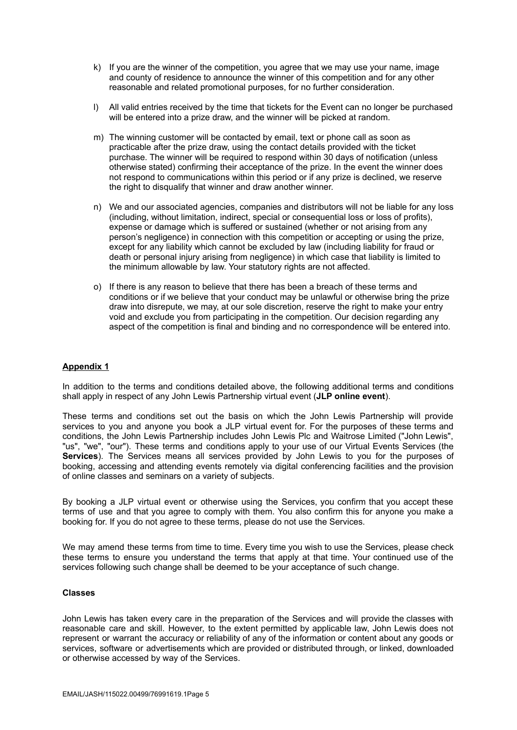- k) If you are the winner of the competition, you agree that we may use your name, image and county of residence to announce the winner of this competition and for any other reasonable and related promotional purposes, for no further consideration.
- l) All valid entries received by the time that tickets for the Event can no longer be purchased will be entered into a prize draw, and the winner will be picked at random.
- m) The winning customer will be contacted by email, text or phone call as soon as practicable after the prize draw, using the contact details provided with the ticket purchase. The winner will be required to respond within 30 days of notification (unless otherwise stated) confirming their acceptance of the prize. In the event the winner does not respond to communications within this period or if any prize is declined, we reserve the right to disqualify that winner and draw another winner.
- n) We and our associated agencies, companies and distributors will not be liable for any loss (including, without limitation, indirect, special or consequential loss or loss of profits), expense or damage which is suffered or sustained (whether or not arising from any person's negligence) in connection with this competition or accepting or using the prize, except for any liability which cannot be excluded by law (including liability for fraud or death or personal injury arising from negligence) in which case that liability is limited to the minimum allowable by law. Your statutory rights are not affected.
- o) If there is any reason to believe that there has been a breach of these terms and conditions or if we believe that your conduct may be unlawful or otherwise bring the prize draw into disrepute, we may, at our sole discretion, reserve the right to make your entry void and exclude you from participating in the competition. Our decision regarding any aspect of the competition is final and binding and no correspondence will be entered into.

# **Appendix 1**

In addition to the terms and conditions detailed above, the following additional terms and conditions shall apply in respect of any John Lewis Partnership virtual event (**JLP online event**).

These terms and conditions set out the basis on which the John Lewis Partnership will provide services to you and anyone you book a JLP virtual event for. For the purposes of these terms and conditions, the John Lewis Partnership includes John Lewis Plc and Waitrose Limited ("John Lewis", "us", "we", "our"). These terms and conditions apply to your use of our Virtual Events Services (the Services). The Services means all services provided by John Lewis to you for the purposes of booking, accessing and attending events remotely via digital conferencing facilities and the provision of online classes and seminars on a variety of subjects.

By booking a JLP virtual event or otherwise using the Services, you confirm that you accept these terms of use and that you agree to comply with them. You also confirm this for anyone you make a booking for. If you do not agree to these terms, please do not use the Services.

We may amend these terms from time to time. Every time you wish to use the Services, please check these terms to ensure you understand the terms that apply at that time. Your continued use of the services following such change shall be deemed to be your acceptance of such change.

### **Classes**

John Lewis has taken every care in the preparation of the Services and will provide the classes with reasonable care and skill. However, to the extent permitted by applicable law, John Lewis does not represent or warrant the accuracy or reliability of any of the information or content about any goods or services, software or advertisements which are provided or distributed through, or linked, downloaded or otherwise accessed by way of the Services.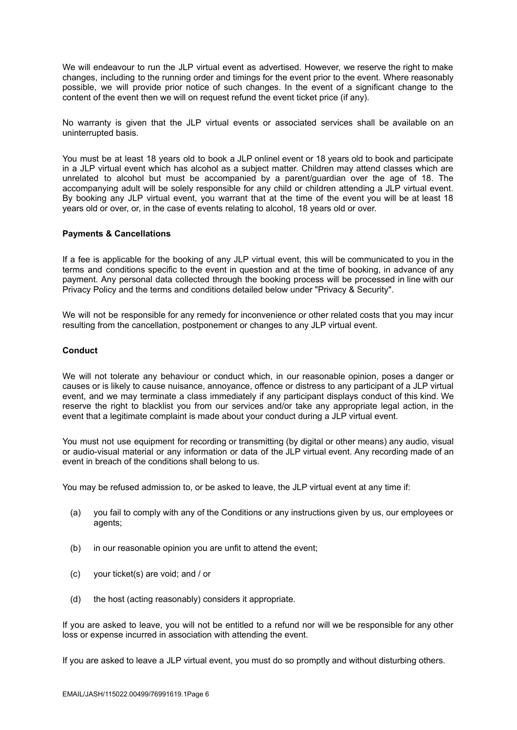We will endeavour to run the JLP virtual event as advertised. However, we reserve the right to make changes, including to the running order and timings for the event prior to the event. Where reasonably possible, we will provide prior notice of such changes. In the event of a significant change to the content of the event then we will on request refund the event ticket price (if any).

No warranty is given that the JLP virtual events or associated services shall be available on an uninterrupted basis.

You must be at least 18 years old to book a JLP onlinel event or 18 years old to book and participate in a JLP virtual event which has alcohol as a subject matter. Children may attend classes which are unrelated to alcohol but must be accompanied by a parent/guardian over the age of 18. The accompanying adult will be solely responsible for any child or children attending a JLP virtual event. By booking any JLP virtual event, you warrant that at the time of the event you will be at least 18 years old or over, or, in the case of events relating to alcohol, 18 years old or over.

### **Payments & Cancellations**

If a fee is applicable for the booking of any JLP virtual event, this will be communicated to you in the terms and conditions specific to the event in question and at the time of booking, in advance of any payment. Any personal data collected through the booking process will be processed in line with our Privacy Policy and the terms and conditions detailed below under "Privacy & Security".

We will not be responsible for any remedy for inconvenience or other related costs that you may incur resulting from the cancellation, postponement or changes to any JLP virtual event.

### **Conduct**

We will not tolerate any behaviour or conduct which, in our reasonable opinion, poses a danger or causes or is likely to cause nuisance, annoyance, offence or distress to any participant of a JLP virtual event, and we may terminate a class immediately if any participant displays conduct of this kind. We reserve the right to blacklist you from our services and/or take any appropriate legal action, in the event that a legitimate complaint is made about your conduct during a JLP virtual event.

You must not use equipment for recording or transmitting (by digital or other means) any audio, visual or audio-visual material or any information or data of the JLP virtual event. Any recording made of an event in breach of the conditions shall belong to us.

You may be refused admission to, or be asked to leave, the JLP virtual event at any time if:

- (a) you fail to comply with any of the Conditions or any instructions given by us, our employees or agents;
- (b) in our reasonable opinion you are unfit to attend the event;
- (c) your ticket(s) are void; and / or
- (d) the host (acting reasonably) considers it appropriate.

If you are asked to leave, you will not be entitled to a refund nor will we be responsible for any other loss or expense incurred in association with attending the event.

If you are asked to leave a JLP virtual event, you must do so promptly and without disturbing others.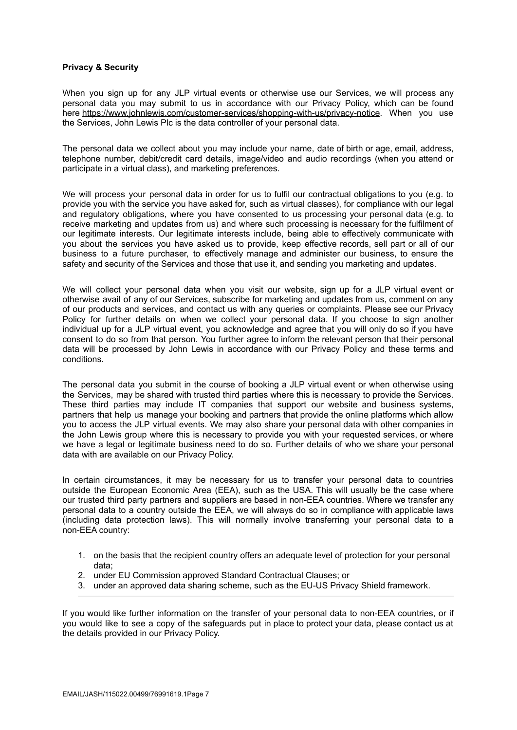## **Privacy & Security**

When you sign up for any JLP virtual events or otherwise use our Services, we will process any personal data you may submit to us in accordance with our Privacy Policy, which can be found here <https://www.johnlewis.com/customer-services/shopping-with-us/privacy-notice>. When you use the Services, John Lewis Plc is the data controller of your personal data.

The personal data we collect about you may include your name, date of birth or age, email, address, telephone number, debit/credit card details, image/video and audio recordings (when you attend or participate in a virtual class), and marketing preferences.

We will process your personal data in order for us to fulfil our contractual obligations to you (e.g. to provide you with the service you have asked for, such as virtual classes), for compliance with our legal and regulatory obligations, where you have consented to us processing your personal data (e.g. to receive marketing and updates from us) and where such processing is necessary for the fulfilment of our legitimate interests. Our legitimate interests include, being able to effectively communicate with you about the services you have asked us to provide, keep effective records, sell part or all of our business to a future purchaser, to effectively manage and administer our business, to ensure the safety and security of the Services and those that use it, and sending you marketing and updates.

We will collect your personal data when you visit our website, sign up for a JLP virtual event or otherwise avail of any of our Services, subscribe for marketing and updates from us, comment on any of our products and services, and contact us with any queries or complaints. Please see our Privacy Policy for further details on when we collect your personal data. If you choose to sign another individual up for a JLP virtual event, you acknowledge and agree that you will only do so if you have consent to do so from that person. You further agree to inform the relevant person that their personal data will be processed by John Lewis in accordance with our Privacy Policy and these terms and conditions.

The personal data you submit in the course of booking a JLP virtual event or when otherwise using the Services, may be shared with trusted third parties where this is necessary to provide the Services. These third parties may include IT companies that support our website and business systems, partners that help us manage your booking and partners that provide the online platforms which allow you to access the JLP virtual events. We may also share your personal data with other companies in the John Lewis group where this is necessary to provide you with your requested services, or where we have a legal or legitimate business need to do so. Further details of who we share your personal data with are available on our Privacy Policy.

In certain circumstances, it may be necessary for us to transfer your personal data to countries outside the European Economic Area (EEA), such as the USA. This will usually be the case where our trusted third party partners and suppliers are based in non-EEA countries. Where we transfer any personal data to a country outside the EEA, we will always do so in compliance with applicable laws (including data protection laws). This will normally involve transferring your personal data to a non-EEA country:

- 1. on the basis that the recipient country offers an adequate level of protection for your personal data;
- 2. under EU Commission approved Standard Contractual Clauses; or
- 3. under an approved data sharing scheme, such as the EU-US Privacy Shield framework.

If you would like further information on the transfer of your personal data to non-EEA countries, or if you would like to see a copy of the safeguards put in place to protect your data, please contact us at the details provided in our Privacy Policy.